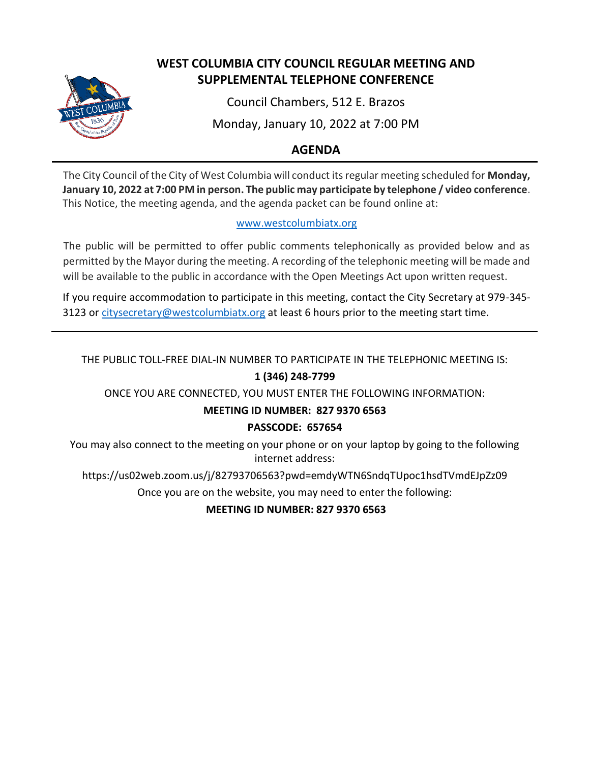

# **WEST COLUMBIA CITY COUNCIL REGULAR MEETING AND SUPPLEMENTAL TELEPHONE CONFERENCE**

Council Chambers, 512 E. Brazos

Monday, January 10, 2022 at 7:00 PM

# **AGENDA**

The City Council of the City of West Columbia will conduct its regular meeting scheduled for **Monday, January 10, 2022 at 7:00 PM in person. The public may participate by telephone / video conference**. This Notice, the meeting agenda, and the agenda packet can be found online at:

## [www.westcolumbiatx.org](http://www.westcolumbiatx.org/)

The public will be permitted to offer public comments telephonically as provided below and as permitted by the Mayor during the meeting. A recording of the telephonic meeting will be made and will be available to the public in accordance with the Open Meetings Act upon written request.

If you require accommodation to participate in this meeting, contact the City Secretary at 979-345 3123 or [citysecretary@westcolumbiatx.org](mailto:citysecretary@westcolumbiatx.org) at least 6 hours prior to the meeting start time.

# THE PUBLIC TOLL-FREE DIAL-IN NUMBER TO PARTICIPATE IN THE TELEPHONIC MEETING IS: **1 (346) 248-7799**

ONCE YOU ARE CONNECTED, YOU MUST ENTER THE FOLLOWING INFORMATION:

## **MEETING ID NUMBER: 827 9370 6563**

## **PASSCODE: 657654**

You may also connect to the meeting on your phone or on your laptop by going to the following internet address:

https://us02web.zoom.us/j/82793706563?pwd=emdyWTN6SndqTUpoc1hsdTVmdEJpZz09

Once you are on the website, you may need to enter the following:

**MEETING ID NUMBER: 827 9370 6563**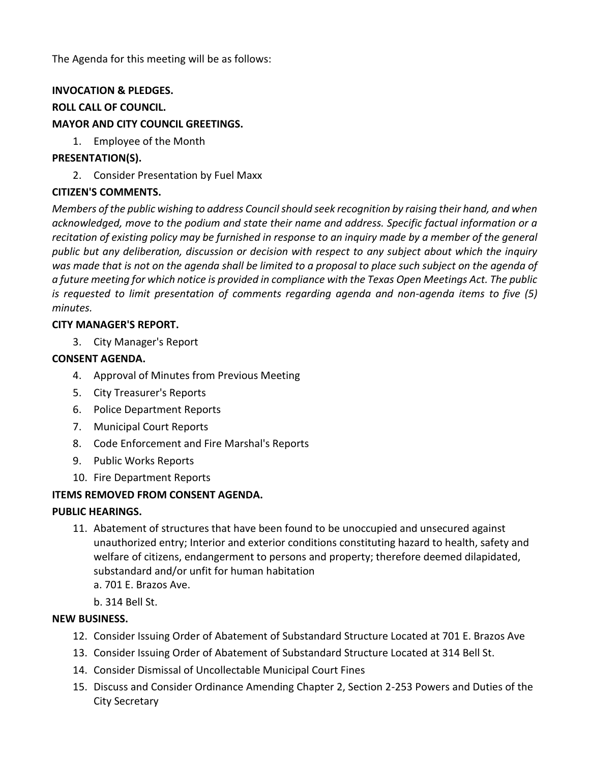The Agenda for this meeting will be as follows:

#### **INVOCATION & PLEDGES.**

#### **ROLL CALL OF COUNCIL.**

#### **MAYOR AND CITY COUNCIL GREETINGS.**

1. Employee of the Month

#### **PRESENTATION(S).**

2. Consider Presentation by Fuel Maxx

#### **CITIZEN'S COMMENTS.**

*Members of the public wishing to address Council should seek recognition by raising their hand, and when acknowledged, move to the podium and state their name and address. Specific factual information or a recitation of existing policy may be furnished in response to an inquiry made by a member of the general public but any deliberation, discussion or decision with respect to any subject about which the inquiry was made that is not on the agenda shall be limited to a proposal to place such subject on the agenda of a future meeting for which notice is provided in compliance with the Texas Open Meetings Act. The public is requested to limit presentation of comments regarding agenda and non-agenda items to five (5) minutes.*

#### **CITY MANAGER'S REPORT.**

3. City Manager's Report

#### **CONSENT AGENDA.**

- 4. Approval of Minutes from Previous Meeting
- 5. City Treasurer's Reports
- 6. Police Department Reports
- 7. Municipal Court Reports
- 8. Code Enforcement and Fire Marshal's Reports
- 9. Public Works Reports
- 10. Fire Department Reports

## **ITEMS REMOVED FROM CONSENT AGENDA.**

## **PUBLIC HEARINGS.**

- 11. Abatement of structures that have been found to be unoccupied and unsecured against unauthorized entry; Interior and exterior conditions constituting hazard to health, safety and welfare of citizens, endangerment to persons and property; therefore deemed dilapidated, substandard and/or unfit for human habitation
	- a. 701 E. Brazos Ave.
	- b. 314 Bell St.

#### **NEW BUSINESS.**

- 12. Consider Issuing Order of Abatement of Substandard Structure Located at 701 E. Brazos Ave
- 13. Consider Issuing Order of Abatement of Substandard Structure Located at 314 Bell St.
- 14. Consider Dismissal of Uncollectable Municipal Court Fines
- 15. Discuss and Consider Ordinance Amending Chapter 2, Section 2-253 Powers and Duties of the City Secretary